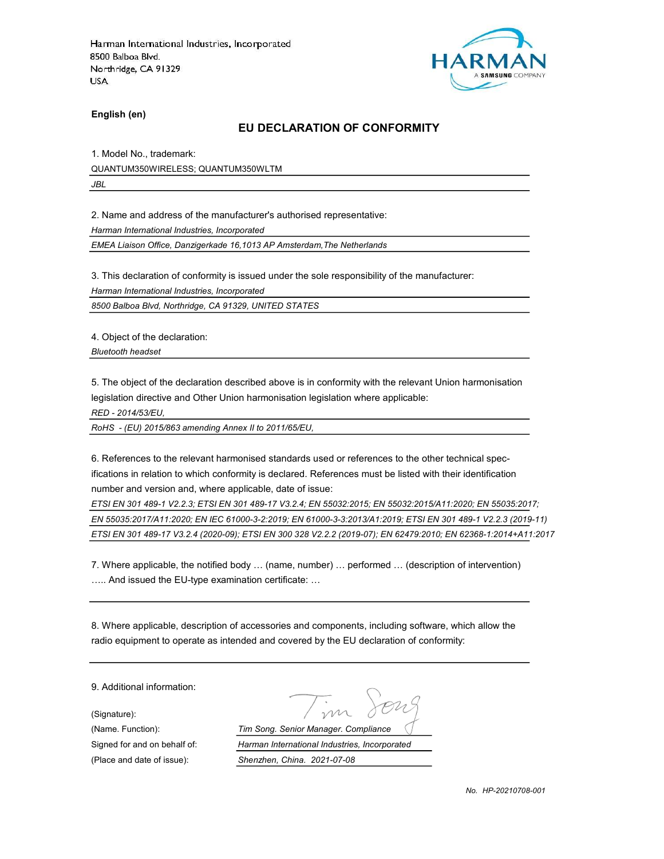

English (en)

#### EU DECLARATION OF CONFORMITY

1. Model No., trademark: QUANTUM350WIRELESS; QUANTUM350WLTM JBL

2. Name and address of the manufacturer's authorised representative:

Harman International Industries, Incorporated

EMEA Liaison Office, Danzigerkade 16,1013 AP Amsterdam,The Netherlands

3. This declaration of conformity is issued under the sole responsibility of the manufacturer:

Harman International Industries, Incorporated

8500 Balboa Blvd, Northridge, CA 91329, UNITED STATES

4. Object of the declaration:

Bluetooth headset

5. The object of the declaration described above is in conformity with the relevant Union harmonisation legislation directive and Other Union harmonisation legislation where applicable:

RED - 2014/53/EU,

RoHS - (EU) 2015/863 amending Annex II to 2011/65/EU,

6. References to the relevant harmonised standards used or references to the other technical specifications in relation to which conformity is declared. References must be listed with their identification number and version and, where applicable, date of issue:

ETSI EN 301 489-1 V2.2.3; ETSI EN 301 489-17 V3.2.4; EN 55032:2015; EN 55032:2015/A11:2020; EN 55035:2017; EN 55035:2017/A11:2020; EN IEC 61000-3-2:2019; EN 61000-3-3:2013/A1:2019; ETSI EN 301 489-1 V2.2.3 (2019-11) ETSI EN 301 489-17 V3.2.4 (2020-09); ETSI EN 300 328 V2.2.2 (2019-07); EN 62479:2010; EN 62368-1:2014+A11:2017

7. Where applicable, the notified body … (name, number) … performed … (description of intervention) ….. And issued the EU-type examination certificate: …

8. Where applicable, description of accessories and components, including software, which allow the radio equipment to operate as intended and covered by the EU declaration of conformity:

9. Additional information:

(Signature):

(Name. Function): Tim Song. Senior Manager. Compliance Signed for and on behalf of: Harman International Industries, Incorporated (Place and date of issue): Shenzhen, China. 2021-07-08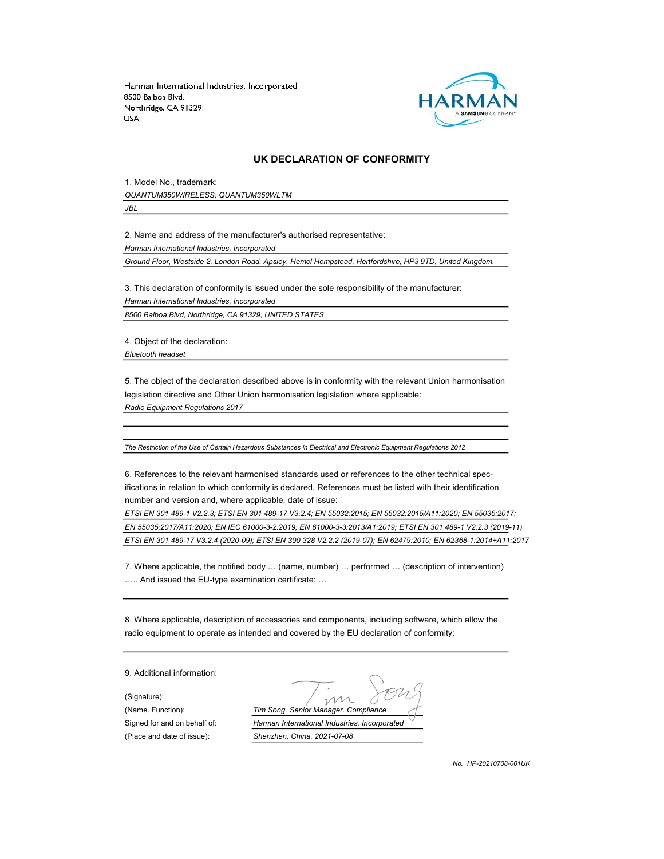

#### UK DECLARATION OF CONFORMITY

1. Model No., trademark: QUANTUM350WIRELESS; QUANTUM350WLTM

JBL

2. Name and address of the manufacturer's authorised representative:

Harman International Industries, Incorporated

Ground Floor, Westside 2, London Road, Apsley, Hemel Hempstead, Hertfordshire, HP3 9TD, United Kingdom.

3. This declaration of conformity is issued under the sole responsibility of the manufacturer:

Harman International Industries, Incorporated

8500 Balboa Blvd, Northridge, CA 91329, UNITED STATES

4. Object of the declaration: Bluetooth headset

5. The object of the declaration described above is in conformity with the relevant Union harmonisation legislation directive and Other Union harmonisation legislation where applicable: Radio Equipment Regulations 2017

The Restriction of the Use of Certain Hazardous Substances in Electrical and Electronic Equipment Regulations 2012

6. References to the relevant harmonised standards used or references to the other technical specifications in relation to which conformity is declared. References must be listed with their identification number and version and, where applicable, date of issue:

ETSI EN 301 489-1 V2.2.3; ETSI EN 301 489-17 V3.2.4; EN 55032:2015; EN 55032:2015/A11:2020; EN 55035:2017; EN 55035:2017/A11:2020; EN IEC 61000-3-2:2019; EN 61000-3-3:2013/A1:2019; ETSI EN 301 489-1 V2.2.3 (2019-11) ETSI EN 301 489-17 V3.2.4 (2020-09); ETSI EN 300 328 V2.2.2 (2019-07); EN 62479:2010; EN 62368-1:2014+A11:2017

7. Where applicable, the notified body … (name, number) … performed … (description of intervention) ….. And issued the EU-type examination certificate: …

8. Where applicable, description of accessories and components, including software, which allow the radio equipment to operate as intended and covered by the EU declaration of conformity:

9. Additional information:

(Signature):

(Name. Function): Tim Song. Senior Manager. Compliance Signed for and on behalf of: Harman International Industries, Incorporated (Place and date of issue): Shenzhen, China. 2021-07-08

No. HP-20210708-001UK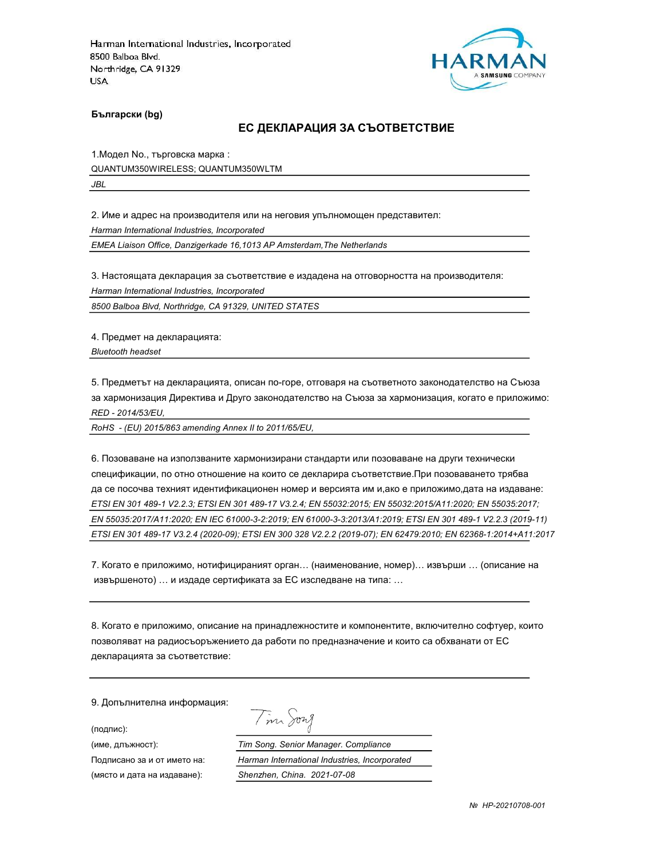

Български (bg)

#### ЕС ДЕКЛАРАЦИЯ ЗА СЪОТВЕТСТВИЕ

1.Модел No., търговска марка : QUANTUM350WIRELESS; QUANTUM350WLTM JBL

2. Име и адрес на производителя или на неговия упълномощен представител:

Harman International Industries, Incorporated

EMEA Liaison Office, Danzigerkade 16,1013 AP Amsterdam,The Netherlands

3. Настоящата декларация за съответствие е издадена на отговорността на производителя:

Harman International Industries, Incorporated

8500 Balboa Blvd, Northridge, CA 91329, UNITED STATES

4. Предмет на декларацията: Bluetooth headset

5. Предметът на декларацията, описан по-горе, отговаря на съответното законодателство на Съюза за хармонизация Директива и Друго законодателство на Съюза за хармонизация, когато е приложимо: RED - 2014/53/EU,

RoHS - (EU) 2015/863 amending Annex II to 2011/65/EU,

6. Позоваване на използваните хармонизирани стандарти или позоваване на други технически спецификации, по отно отношение на които се декларира съответствие.При позоваването трябва да се посочва техният идентификационен номер и версията им и,ако е приложимо,дата на издаване: ETSI EN 301 489-1 V2.2.3; ETSI EN 301 489-17 V3.2.4; EN 55032:2015; EN 55032:2015/A11:2020; EN 55035:2017; EN 55035:2017/A11:2020; EN IEC 61000-3-2:2019; EN 61000-3-3:2013/A1:2019; ETSI EN 301 489-1 V2.2.3 (2019-11) ETSI EN 301 489-17 V3.2.4 (2020-09); ETSI EN 300 328 V2.2.2 (2019-07); EN 62479:2010; EN 62368-1:2014+A11:2017

7. Когато е приложимо, нотифицираният орган… (наименование, номер)… извърши … (описание на извършеното) … и издаде сертификата за ЕС изследване на типа: …

8. Когато е приложимо, описание на принадлежностите и компонентите, включително софтуер, които позволяват на радиосъоръжението да работи по предназначение и които са обхванати от ЕС декларацията за съответствие:

Tim Song

9. Допълнителна информация:

(подпис):

(име, длъжност): Tim Song. Senior Manager. Compliance Подписано за и от името на: Harman International Industries, Incorporated (място и дата на издаване): Shenzhen, China. 2021-07-08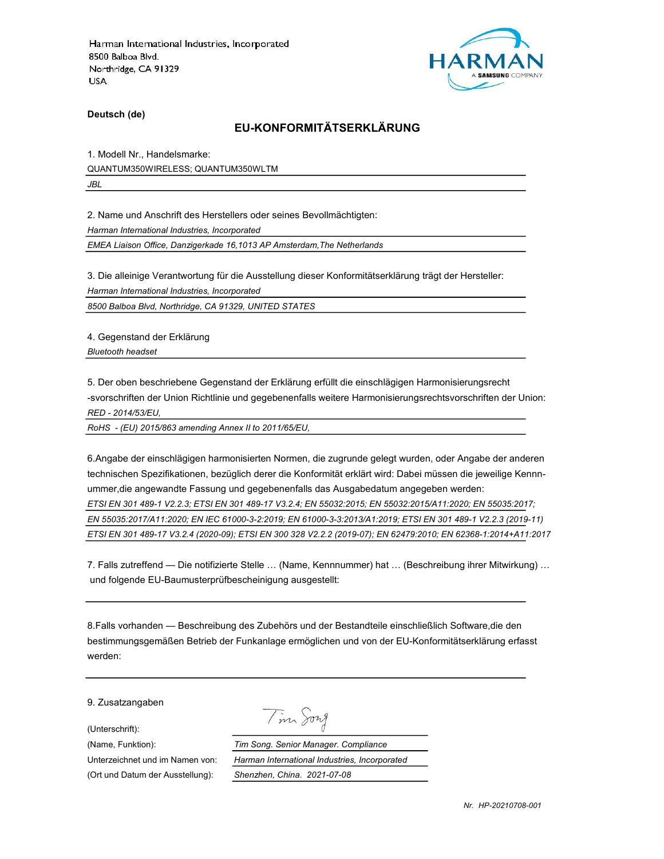

Deutsch (de)

# EU-KONFORMITÄTSERKLÄRUNG

1. Modell Nr., Handelsmarke: QUANTUM350WIRELESS; QUANTUM350WLTM JBL

2. Name und Anschrift des Herstellers oder seines Bevollmächtigten:

Harman International Industries, Incorporated

EMEA Liaison Office, Danzigerkade 16,1013 AP Amsterdam,The Netherlands

3. Die alleinige Verantwortung für die Ausstellung dieser Konformitätserklärung trägt der Hersteller:

Harman International Industries, Incorporated

8500 Balboa Blvd, Northridge, CA 91329, UNITED STATES

4. Gegenstand der Erklärung Bluetooth headset

5. Der oben beschriebene Gegenstand der Erklärung erfüllt die einschlägigen Harmonisierungsrecht -svorschriften der Union Richtlinie und gegebenenfalls weitere Harmonisierungsrechtsvorschriften der Union: RED - 2014/53/EU,

RoHS - (EU) 2015/863 amending Annex II to 2011/65/EU,

6.Angabe der einschlägigen harmonisierten Normen, die zugrunde gelegt wurden, oder Angabe der anderen technischen Spezifikationen, bezüglich derer die Konformität erklärt wird: Dabei müssen die jeweilige Kennnummer,die angewandte Fassung und gegebenenfalls das Ausgabedatum angegeben werden: ETSI EN 301 489-1 V2.2.3; ETSI EN 301 489-17 V3.2.4; EN 55032:2015; EN 55032:2015/A11:2020; EN 55035:2017; EN 55035:2017/A11:2020; EN IEC 61000-3-2:2019; EN 61000-3-3:2013/A1:2019; ETSI EN 301 489-1 V2.2.3 (2019-11) ETSI EN 301 489-17 V3.2.4 (2020-09); ETSI EN 300 328 V2.2.2 (2019-07); EN 62479:2010; EN 62368-1:2014+A11:2017

7. Falls zutreffend — Die notifizierte Stelle … (Name, Kennnummer) hat … (Beschreibung ihrer Mitwirkung) … und folgende EU-Baumusterprüfbescheinigung ausgestellt:

8.Falls vorhanden — Beschreibung des Zubehörs und der Bestandteile einschließlich Software,die den bestimmungsgemäßen Betrieb der Funkanlage ermöglichen und von der EU-Konformitätserklärung erfasst werden:

9. Zusatzangaben

(Unterschrift):

Tim Song

(Name, Funktion): Tim Song. Senior Manager. Compliance Unterzeichnet und im Namen von: Harman International Industries, Incorporated (Ort und Datum der Ausstellung): Shenzhen, China. 2021-07-08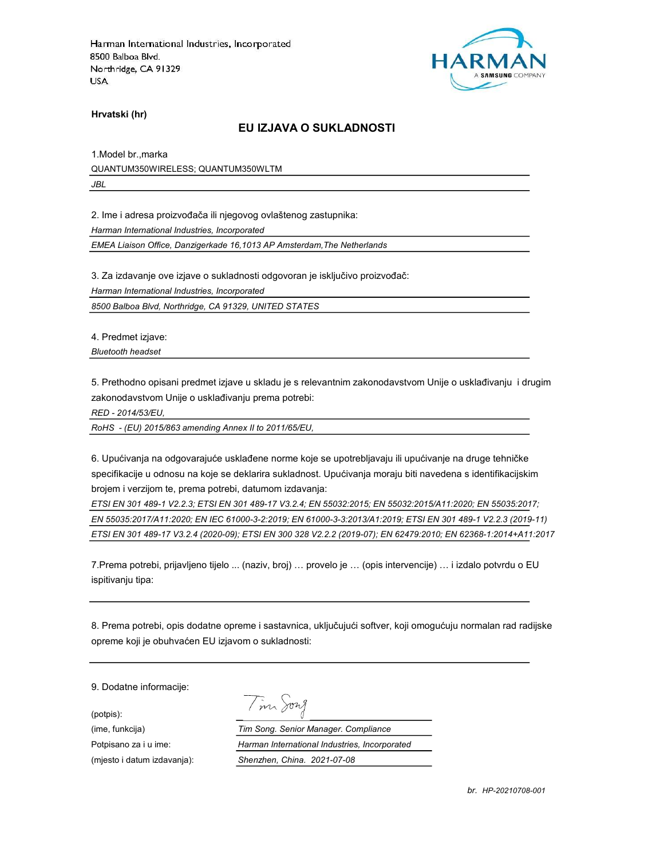

Hrvatski (hr)

#### EU IZJAVA O SUKLADNOSTI

1.Model br.,marka QUANTUM350WIRELESS; QUANTUM350WLTM JBL

2. Ime i adresa proizvođača ili njegovog ovlaštenog zastupnika:

Harman International Industries, Incorporated

EMEA Liaison Office, Danzigerkade 16,1013 AP Amsterdam,The Netherlands

3. Za izdavanje ove izjave o sukladnosti odgovoran je isključivo proizvođač:

Harman International Industries, Incorporated

8500 Balboa Blvd, Northridge, CA 91329, UNITED STATES

4. Predmet izjave:

Bluetooth headset

5. Prethodno opisani predmet izjave u skladu je s relevantnim zakonodavstvom Unije o usklađivanju i drugim zakonodavstvom Unije o usklađivanju prema potrebi:

RED - 2014/53/EU,

RoHS - (EU) 2015/863 amending Annex II to 2011/65/EU,

6. Upućivanja na odgovarajuće usklađene norme koje se upotrebljavaju ili upućivanje na druge tehničke specifikacije u odnosu na koje se deklarira sukladnost. Upućivanja moraju biti navedena s identifikacijskim brojem i verzijom te, prema potrebi, datumom izdavanja:

ETSI EN 301 489-1 V2.2.3; ETSI EN 301 489-17 V3.2.4; EN 55032:2015; EN 55032:2015/A11:2020; EN 55035:2017; EN 55035:2017/A11:2020; EN IEC 61000-3-2:2019; EN 61000-3-3:2013/A1:2019; ETSI EN 301 489-1 V2.2.3 (2019-11) ETSI EN 301 489-17 V3.2.4 (2020-09); ETSI EN 300 328 V2.2.2 (2019-07); EN 62479:2010; EN 62368-1:2014+A11:2017

7.Prema potrebi, prijavljeno tijelo ... (naziv, broj) … provelo je … (opis intervencije) … i izdalo potvrdu o EU ispitivanju tipa:

8. Prema potrebi, opis dodatne opreme i sastavnica, uključujući softver, koji omogućuju normalan rad radijske opreme koji je obuhvaćen EU izjavom o sukladnosti:

9. Dodatne informacije:

(potpis):

Tim Song

(ime, funkcija) Tim Song. Senior Manager. Compliance Potpisano za i u ime: <br>
Harman International Industries, Incorporated (mjesto i datum izdavanja): Shenzhen, China. 2021-07-08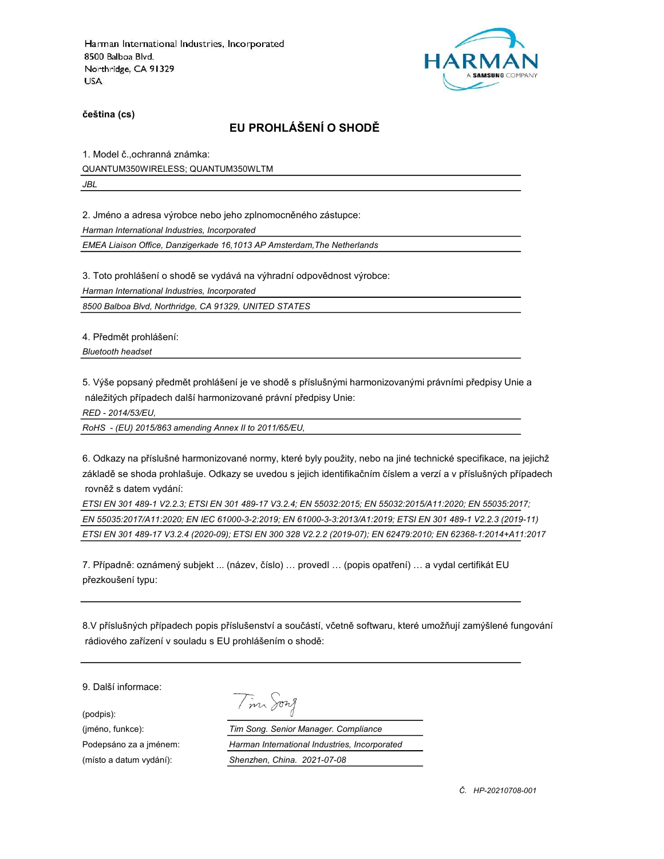

čeština (cs)

# EU PROHLÁŠENÍ O SHODĚ

1. Model č.,ochranná známka: QUANTUM350WIRELESS; QUANTUM350WLTM JBL

2. Jméno a adresa výrobce nebo jeho zplnomocněného zástupce:

Harman International Industries, Incorporated

EMEA Liaison Office, Danzigerkade 16,1013 AP Amsterdam,The Netherlands

3. Toto prohlášení o shodě se vydává na výhradní odpovědnost výrobce:

Harman International Industries, Incorporated

8500 Balboa Blvd, Northridge, CA 91329, UNITED STATES

4. Předmět prohlášení:

Bluetooth headset

5. Výše popsaný předmět prohlášení je ve shodě s příslušnými harmonizovanými právními předpisy Unie a náležitých případech další harmonizované právní předpisy Unie:

RED - 2014/53/EU,

RoHS - (EU) 2015/863 amending Annex II to 2011/65/EU,

6. Odkazy na příslušné harmonizované normy, které byly použity, nebo na jiné technické specifikace, na jejichž základě se shoda prohlašuje. Odkazy se uvedou s jejich identifikačním číslem a verzí a v příslušných případech rovněž s datem vydání:

ETSI EN 301 489-1 V2.2.3; ETSI EN 301 489-17 V3.2.4; EN 55032:2015; EN 55032:2015/A11:2020; EN 55035:2017; EN 55035:2017/A11:2020; EN IEC 61000-3-2:2019; EN 61000-3-3:2013/A1:2019; ETSI EN 301 489-1 V2.2.3 (2019-11) ETSI EN 301 489-17 V3.2.4 (2020-09); ETSI EN 300 328 V2.2.2 (2019-07); EN 62479:2010; EN 62368-1:2014+A11:2017

7. Případně: oznámený subjekt ... (název, číslo) … provedl … (popis opatření) … a vydal certifikát EU přezkoušení typu:

8.V příslušných případech popis příslušenství a součástí, včetně softwaru, které umožňují zamýšlené fungování rádiového zařízení v souladu s EU prohlášením o shodě:

9. Další informace:

(podpis):

Tim Song

(jméno, funkce): Tim Song. Senior Manager. Compliance Podepsáno za a jménem: Harman International Industries, Incorporated (místo a datum vydání): Shenzhen, China. 2021-07-08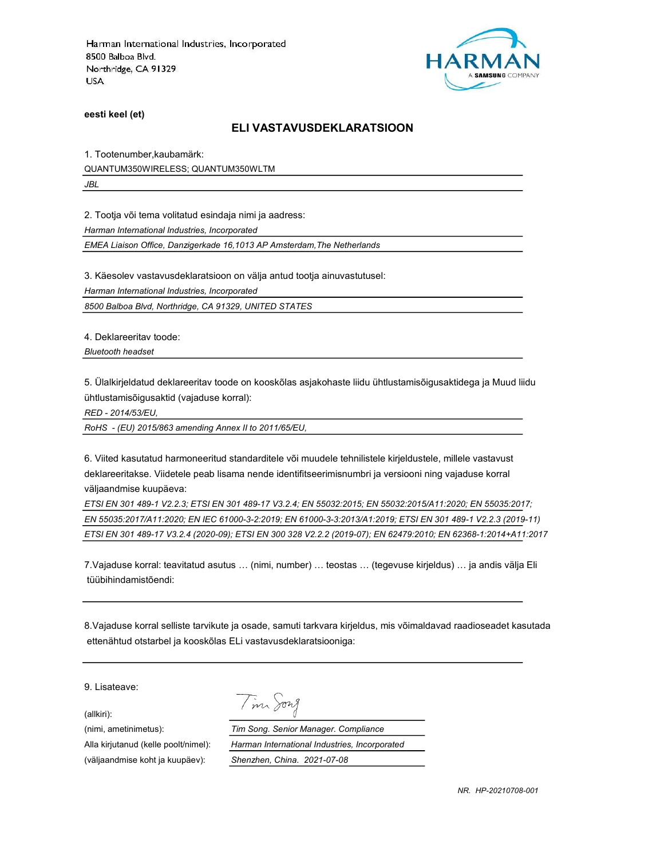

eesti keel (et)

#### ELI VASTAVUSDEKLARATSIOON

1. Tootenumber,kaubamärk:

QUANTUM350WIRELESS; QUANTUM350WLTM

JBL

2. Tootja või tema volitatud esindaja nimi ja aadress:

Harman International Industries, Incorporated

EMEA Liaison Office, Danzigerkade 16,1013 AP Amsterdam,The Netherlands

3. Käesolev vastavusdeklaratsioon on välja antud tootja ainuvastutusel:

Harman International Industries, Incorporated

8500 Balboa Blvd, Northridge, CA 91329, UNITED STATES

4. Deklareeritav toode:

Bluetooth headset

5. Ülalkirjeldatud deklareeritav toode on kooskõlas asjakohaste liidu ühtlustamisõigusaktidega ja Muud liidu ühtlustamisõigusaktid (vajaduse korral):

RED - 2014/53/EU,

RoHS - (EU) 2015/863 amending Annex II to 2011/65/EU,

6. Viited kasutatud harmoneeritud standarditele või muudele tehnilistele kirjeldustele, millele vastavust deklareeritakse. Viidetele peab lisama nende identifitseerimisnumbri ja versiooni ning vajaduse korral väljaandmise kuupäeva:

ETSI EN 301 489-1 V2.2.3; ETSI EN 301 489-17 V3.2.4; EN 55032:2015; EN 55032:2015/A11:2020; EN 55035:2017; EN 55035:2017/A11:2020; EN IEC 61000-3-2:2019; EN 61000-3-3:2013/A1:2019; ETSI EN 301 489-1 V2.2.3 (2019-11) ETSI EN 301 489-17 V3.2.4 (2020-09); ETSI EN 300 328 V2.2.2 (2019-07); EN 62479:2010; EN 62368-1:2014+A11:2017

7.Vajaduse korral: teavitatud asutus … (nimi, number) … teostas … (tegevuse kirjeldus) … ja andis välja Eli tüübihindamistõendi:

8.Vajaduse korral selliste tarvikute ja osade, samuti tarkvara kirjeldus, mis võimaldavad raadioseadet kasutada ettenähtud otstarbel ja kooskõlas ELi vastavusdeklaratsiooniga:

9. Lisateave:

(allkiri):

Tim Song

(nimi, ametinimetus): Tim Song. Senior Manager. Compliance Alla kirjutanud (kelle poolt/nimel): Harman International Industries, Incorporated (väljaandmise koht ja kuupäev): Shenzhen, China. 2021-07-08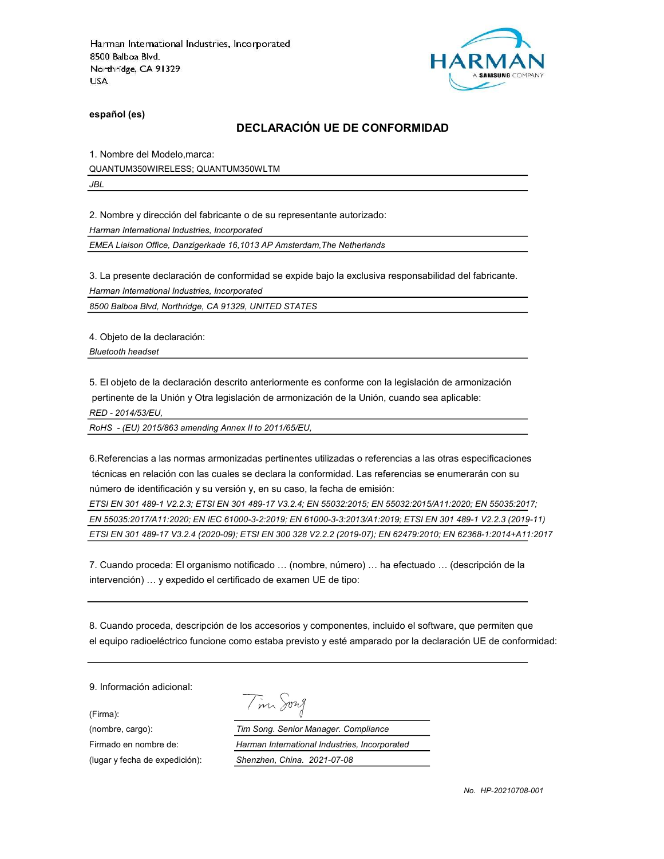

español (es)

## DECLARACIÓN UE DE CONFORMIDAD

1. Nombre del Modelo,marca: QUANTUM350WIRELESS; QUANTUM350WLTM

JBL

2. Nombre y dirección del fabricante o de su representante autorizado:

Harman International Industries, Incorporated

EMEA Liaison Office, Danzigerkade 16,1013 AP Amsterdam,The Netherlands

3. La presente declaración de conformidad se expide bajo la exclusiva responsabilidad del fabricante.

Harman International Industries, Incorporated

8500 Balboa Blvd, Northridge, CA 91329, UNITED STATES

4. Objeto de la declaración:

Bluetooth headset

5. El objeto de la declaración descrito anteriormente es conforme con la legislación de armonización pertinente de la Unión y Otra legislación de armonización de la Unión, cuando sea aplicable:

RED - 2014/53/EU,

RoHS - (EU) 2015/863 amending Annex II to 2011/65/EU,

6.Referencias a las normas armonizadas pertinentes utilizadas o referencias a las otras especificaciones técnicas en relación con las cuales se declara la conformidad. Las referencias se enumerarán con su número de identificación y su versión y, en su caso, la fecha de emisión:

ETSI EN 301 489-1 V2.2.3; ETSI EN 301 489-17 V3.2.4; EN 55032:2015; EN 55032:2015/A11:2020; EN 55035:2017; EN 55035:2017/A11:2020; EN IEC 61000-3-2:2019; EN 61000-3-3:2013/A1:2019; ETSI EN 301 489-1 V2.2.3 (2019-11) ETSI EN 301 489-17 V3.2.4 (2020-09); ETSI EN 300 328 V2.2.2 (2019-07); EN 62479:2010; EN 62368-1:2014+A11:2017

7. Cuando proceda: El organismo notificado … (nombre, número) … ha efectuado … (descripción de la intervención) … y expedido el certificado de examen UE de tipo:

8. Cuando proceda, descripción de los accesorios y componentes, incluido el software, que permiten que el equipo radioeléctrico funcione como estaba previsto y esté amparado por la declaración UE de conformidad:

9. Información adicional:

(Firma):

|  | 172 <i>X</i> |
|--|--------------|
|--|--------------|

(nombre, cargo): Tim Song. Senior Manager. Compliance Firmado en nombre de: Harman International Industries, Incorporated (lugar y fecha de expedición): Shenzhen, China. 2021-07-08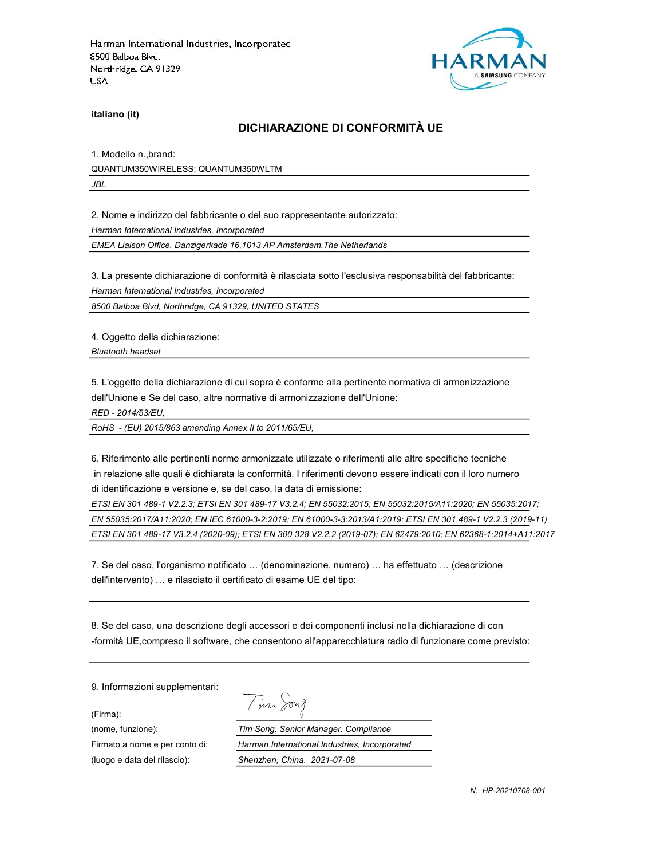

italiano (it)

#### DICHIARAZIONE DI CONFORMITÀ UE

1. Modello n.,brand: QUANTUM350WIRELESS; QUANTUM350WLTM JBL

2. Nome e indirizzo del fabbricante o del suo rappresentante autorizzato:

Harman International Industries, Incorporated

EMEA Liaison Office, Danzigerkade 16,1013 AP Amsterdam,The Netherlands

3. La presente dichiarazione di conformità è rilasciata sotto l'esclusiva responsabilità del fabbricante:

Harman International Industries, Incorporated

8500 Balboa Blvd, Northridge, CA 91329, UNITED STATES

4. Oggetto della dichiarazione:

Bluetooth headset

5. L'oggetto della dichiarazione di cui sopra è conforme alla pertinente normativa di armonizzazione dell'Unione e Se del caso, altre normative di armonizzazione dell'Unione:

RED - 2014/53/EU,

RoHS - (EU) 2015/863 amending Annex II to 2011/65/EU,

6. Riferimento alle pertinenti norme armonizzate utilizzate o riferimenti alle altre specifiche tecniche in relazione alle quali è dichiarata la conformità. I riferimenti devono essere indicati con il loro numero di identificazione e versione e, se del caso, la data di emissione:

ETSI EN 301 489-1 V2.2.3; ETSI EN 301 489-17 V3.2.4; EN 55032:2015; EN 55032:2015/A11:2020; EN 55035:2017; EN 55035:2017/A11:2020; EN IEC 61000-3-2:2019; EN 61000-3-3:2013/A1:2019; ETSI EN 301 489-1 V2.2.3 (2019-11) ETSI EN 301 489-17 V3.2.4 (2020-09); ETSI EN 300 328 V2.2.2 (2019-07); EN 62479:2010; EN 62368-1:2014+A11:2017

7. Se del caso, l'organismo notificato … (denominazione, numero) … ha effettuato … (descrizione dell'intervento) … e rilasciato il certificato di esame UE del tipo:

8. Se del caso, una descrizione degli accessori e dei componenti inclusi nella dichiarazione di con -formità UE,compreso il software, che consentono all'apparecchiatura radio di funzionare come previsto:

9. Informazioni supplementari:

(Firma):

Tim Song

(nome, funzione): Tim Song. Senior Manager. Compliance Firmato a nome e per conto di: Harman International Industries, Incorporated (luogo e data del rilascio): Shenzhen, China. 2021-07-08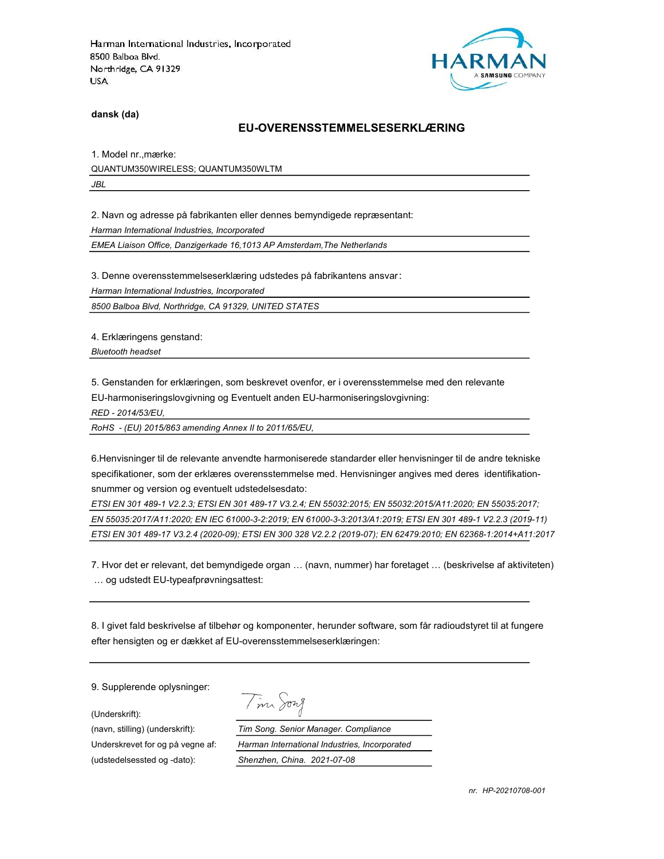

dansk (da)

#### EU-OVERENSSTEMMELSESERKLÆRING

1. Model nr.,mærke: QUANTUM350WIRELESS; QUANTUM350WLTM JBL

2. Navn og adresse på fabrikanten eller dennes bemyndigede repræsentant:

Harman International Industries, Incorporated

EMEA Liaison Office, Danzigerkade 16,1013 AP Amsterdam,The Netherlands

3. Denne overensstemmelseserklæring udstedes på fabrikantens ansvar:

Harman International Industries, Incorporated

8500 Balboa Blvd, Northridge, CA 91329, UNITED STATES

4. Erklæringens genstand:

Bluetooth headset

5. Genstanden for erklæringen, som beskrevet ovenfor, er i overensstemmelse med den relevante

EU-harmoniseringslovgivning og Eventuelt anden EU-harmoniseringslovgivning:

RED - 2014/53/EU,

RoHS - (EU) 2015/863 amending Annex II to 2011/65/EU,

6.Henvisninger til de relevante anvendte harmoniserede standarder eller henvisninger til de andre tekniske specifikationer, som der erklæres overensstemmelse med. Henvisninger angives med deres identifikationsnummer og version og eventuelt udstedelsesdato:

ETSI EN 301 489-1 V2.2.3; ETSI EN 301 489-17 V3.2.4; EN 55032:2015; EN 55032:2015/A11:2020; EN 55035:2017; EN 55035:2017/A11:2020; EN IEC 61000-3-2:2019; EN 61000-3-3:2013/A1:2019; ETSI EN 301 489-1 V2.2.3 (2019-11) ETSI EN 301 489-17 V3.2.4 (2020-09); ETSI EN 300 328 V2.2.2 (2019-07); EN 62479:2010; EN 62368-1:2014+A11:2017

7. Hvor det er relevant, det bemyndigede organ … (navn, nummer) har foretaget … (beskrivelse af aktiviteten) … og udstedt EU-typeafprøvningsattest:

8. I givet fald beskrivelse af tilbehør og komponenter, herunder software, som får radioudstyret til at fungere efter hensigten og er dækket af EU-overensstemmelseserklæringen:

9. Supplerende oplysninger:

(Underskrift):

(udstedelsessted og -dato): Shenzhen, China. 2021-07-08

Tim Song

(navn, stilling) (underskrift): Tim Song. Senior Manager. Compliance Underskrevet for og på vegne af: Harman International Industries, Incorporated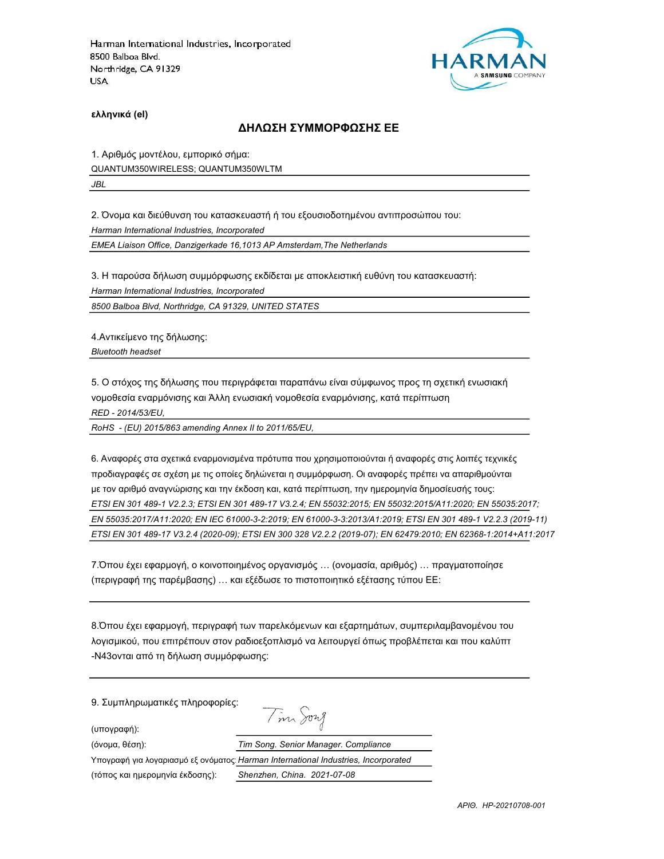

ελληνικά (el)

#### ΔΗΛΩΣΗ ΣΥΜΜΟΡΦΩΣΗΣ ΕΕ

1. Αριθμός μοντέλου, εμπορικό σήμα:

QUANTUM350WIRELESS; QUANTUM350WLTM

JBL

2. Όνομα και διεύθυνση του κατασκευαστή ή του εξουσιοδοτημένου αντιπροσώπου του:

Harman International Industries, Incorporated

EMEA Liaison Office, Danzigerkade 16,1013 AP Amsterdam,The Netherlands

3. Η παρούσα δήλωση συμμόρφωσης εκδίδεται με αποκλειστική ευθύνη του κατασκευαστή:

Harman International Industries, Incorporated

8500 Balboa Blvd, Northridge, CA 91329, UNITED STATES

4.Αντικείμενο της δήλωσης: Bluetooth headset

5. Ο στόχος της δήλωσης που περιγράφεται παραπάνω είναι σύμφωνος προς τη σχετική ενωσιακή νομοθεσία εναρμόνισης και Άλλη ενωσιακή νομοθεσία εναρμόνισης, κατά περίπτωση RED - 2014/53/EU,

RoHS - (EU) 2015/863 amending Annex II to 2011/65/EU,

6. Αναφορές στα σχετικά εναρμονισμένα πρότυπα που χρησιμοποιούνται ή αναφορές στις λοιπές τεχνικές προδιαγραφές σε σχέση με τις οποίες δηλώνεται η συμμόρφωση. Οι αναφορές πρέπει να απαριθμούνται με τον αριθμό αναγνώρισης και την έκδοση και, κατά περίπτωση, την ημερομηνία δημοσίευσής τους: ETSI EN 301 489-1 V2.2.3; ETSI EN 301 489-17 V3.2.4; EN 55032:2015; EN 55032:2015/A11:2020; EN 55035:2017; EN 55035:2017/A11:2020; EN IEC 61000-3-2:2019; EN 61000-3-3:2013/A1:2019; ETSI EN 301 489-1 V2.2.3 (2019-11) ETSI EN 301 489-17 V3.2.4 (2020-09); ETSI EN 300 328 V2.2.2 (2019-07); EN 62479:2010; EN 62368-1:2014+A11:2017

7.Όπου έχει εφαρμογή, ο κοινοποιημένος οργανισμός … (ονομασία, αριθμός) … πραγματοποίησε (περιγραφή της παρέμβασης) … και εξέδωσε το πιστοποιητικό εξέτασης τύπου ΕΕ:

8.Όπου έχει εφαρμογή, περιγραφή των παρελκόμενων και εξαρτημάτων, συμπεριλαμβανομένου του λογισμικού, που επιτρέπουν στον ραδιοεξοπλισμό να λειτουργεί όπως προβλέπεται και που καλύπτ -N43ονται από τη δήλωση συμμόρφωσης:

9. Συμπληρωματικές πληροφορίες:

(υπογραφή):

Tim Song

| (όνομα, θέση):                                                                    | Tim Song. Senior Manager. Compliance |
|-----------------------------------------------------------------------------------|--------------------------------------|
| Υπογραφή για λογαριασμό εξ ονόματος Harman International Industries, Incorporated |                                      |
| (τόπος και ημερομηνία έκδοσης):                                                   | Shenzhen, China. 2021-07-08          |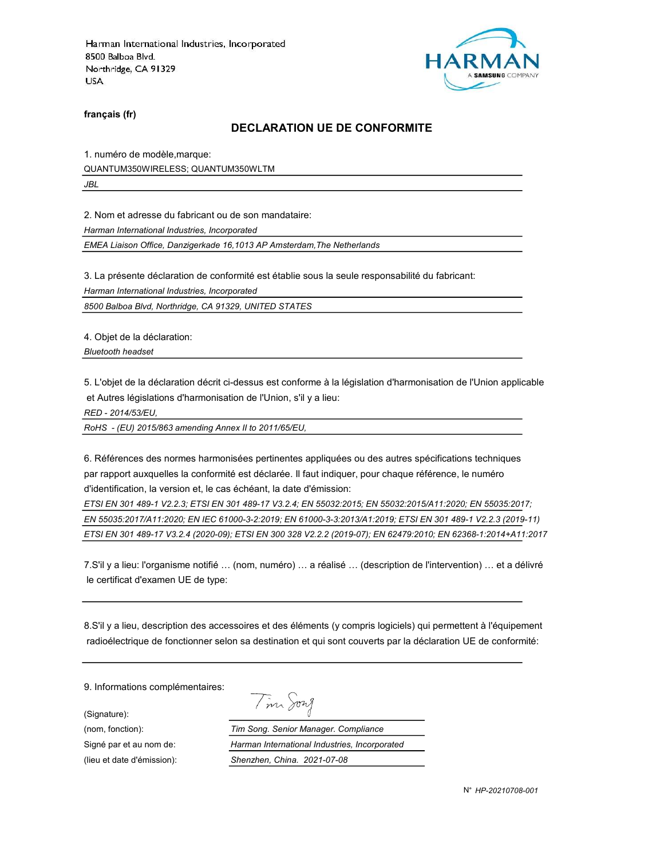

français (fr)

#### DECLARATION UE DE CONFORMITE

1. numéro de modèle,marque:

QUANTUM350WIRELESS; QUANTUM350WLTM

JBL

2. Nom et adresse du fabricant ou de son mandataire:

Harman International Industries, Incorporated

EMEA Liaison Office, Danzigerkade 16,1013 AP Amsterdam,The Netherlands

3. La présente déclaration de conformité est établie sous la seule responsabilité du fabricant:

Harman International Industries, Incorporated

8500 Balboa Blvd, Northridge, CA 91329, UNITED STATES

4. Objet de la déclaration:

Bluetooth headset

5. L'objet de la déclaration décrit ci-dessus est conforme à la législation d'harmonisation de l'Union applicable et Autres législations d'harmonisation de l'Union, s'il y a lieu:

RED - 2014/53/EU,

RoHS - (EU) 2015/863 amending Annex II to 2011/65/EU,

6. Références des normes harmonisées pertinentes appliquées ou des autres spécifications techniques par rapport auxquelles la conformité est déclarée. Il faut indiquer, pour chaque référence, le numéro d'identification, la version et, le cas échéant, la date d'émission:

ETSI EN 301 489-1 V2.2.3; ETSI EN 301 489-17 V3.2.4; EN 55032:2015; EN 55032:2015/A11:2020; EN 55035:2017; EN 55035:2017/A11:2020; EN IEC 61000-3-2:2019; EN 61000-3-3:2013/A1:2019; ETSI EN 301 489-1 V2.2.3 (2019-11) ETSI EN 301 489-17 V3.2.4 (2020-09); ETSI EN 300 328 V2.2.2 (2019-07); EN 62479:2010; EN 62368-1:2014+A11:2017

7.S'il y a lieu: l'organisme notifié … (nom, numéro) … a réalisé … (description de l'intervention) … et a délivré le certificat d'examen UE de type:

8.S'il y a lieu, description des accessoires et des éléments (y compris logiciels) qui permettent à l'équipement radioélectrique de fonctionner selon sa destination et qui sont couverts par la déclaration UE de conformité:

Tim Song

9. Informations complémentaires:

(Signature):

(nom, fonction): Tim Song. Senior Manager. Compliance Signé par et au nom de: Harman International Industries, Incorporated (lieu et date d'émission): Shenzhen, China. 2021-07-08

N° HP-20210708-001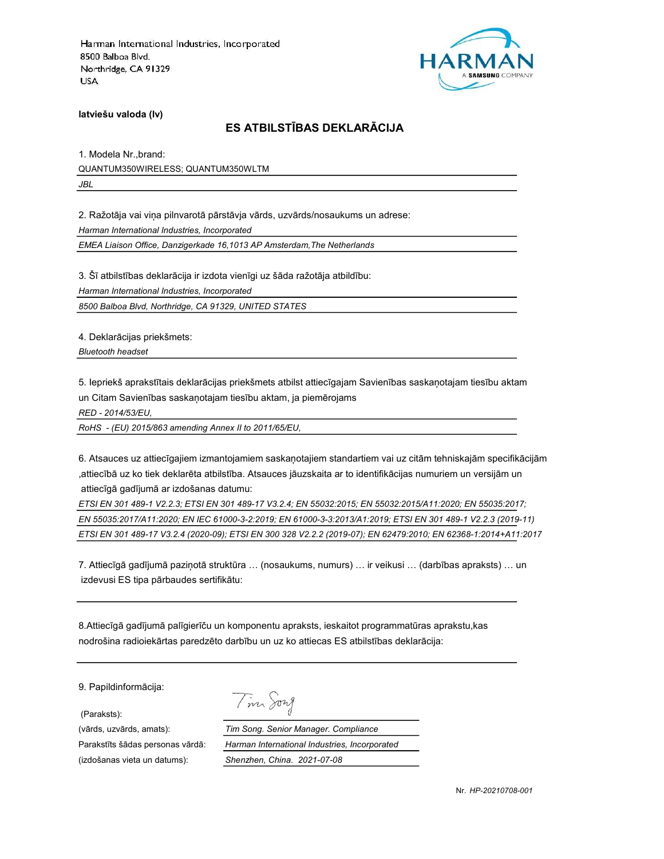

latviešu valoda (lv)

# ES ATBILSTĪBAS DEKLARĀCIJA

1. Modela Nr.,brand: QUANTUM350WIRELESS; QUANTUM350WLTM JBL

2. Ražotāja vai viņa pilnvarotā pārstāvja vārds, uzvārds/nosaukums un adrese:

Harman International Industries, Incorporated

EMEA Liaison Office, Danzigerkade 16,1013 AP Amsterdam,The Netherlands

3. Šī atbilstības deklarācija ir izdota vienīgi uz šāda ražotāja atbildību:

Harman International Industries, Incorporated

8500 Balboa Blvd, Northridge, CA 91329, UNITED STATES

4. Deklarācijas priekšmets:

Bluetooth headset

5. Iepriekš aprakstītais deklarācijas priekšmets atbilst attiecīgajam Savienības saskaņotajam tiesību aktam un Citam Savienības saskaņotajam tiesību aktam, ja piemērojams

RED - 2014/53/EU,

RoHS - (EU) 2015/863 amending Annex II to 2011/65/EU,

6. Atsauces uz attiecīgajiem izmantojamiem saskaņotajiem standartiem vai uz citām tehniskajām specifikācijām ,attiecībā uz ko tiek deklarēta atbilstība. Atsauces jāuzskaita ar to identifikācijas numuriem un versijām un attiecīgā gadījumā ar izdošanas datumu:

ETSI EN 301 489-1 V2.2.3; ETSI EN 301 489-17 V3.2.4; EN 55032:2015; EN 55032:2015/A11:2020; EN 55035:2017; EN 55035:2017/A11:2020; EN IEC 61000-3-2:2019; EN 61000-3-3:2013/A1:2019; ETSI EN 301 489-1 V2.2.3 (2019-11) ETSI EN 301 489-17 V3.2.4 (2020-09); ETSI EN 300 328 V2.2.2 (2019-07); EN 62479:2010; EN 62368-1:2014+A11:2017

7. Attiecīgā gadījumā paziņotā struktūra … (nosaukums, numurs) … ir veikusi … (darbības apraksts) … un izdevusi ES tipa pārbaudes sertifikātu:

8.Attiecīgā gadījumā palīgierīču un komponentu apraksts, ieskaitot programmatūras aprakstu,kas nodrošina radioiekārtas paredzēto darbību un uz ko attiecas ES atbilstības deklarācija:

9. Papildinformācija:

(Paraksts):

(izdošanas vieta un datums): Shenzhen, China. 2021-07-08

Tim Song

(vārds, uzvārds, amats): Tim Song. Senior Manager. Compliance Parakstīts šādas personas vārdā: Harman International Industries, Incorporated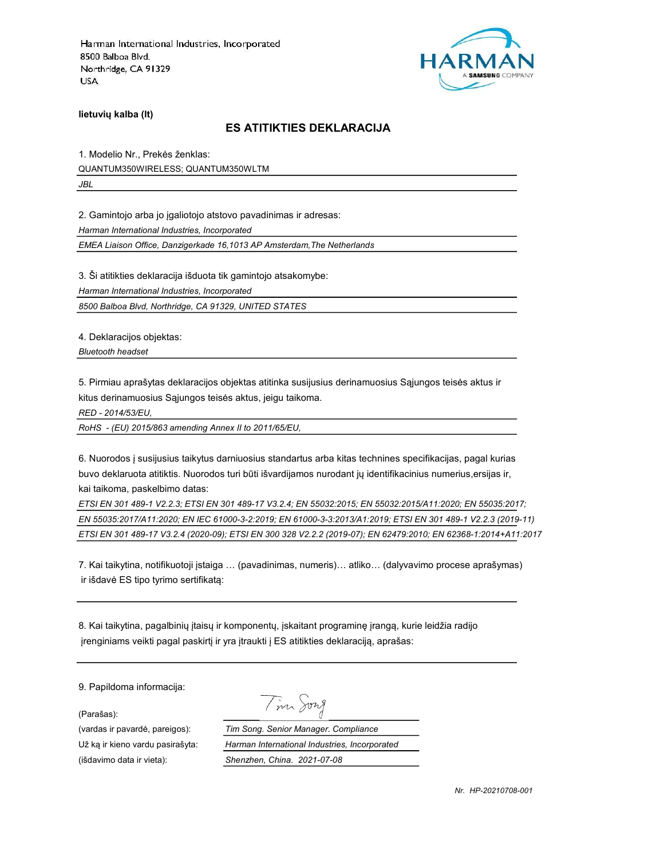

lietuvių kalba (lt)

#### ES ATITIKTIES DEKLARACIJA

1. Modelio Nr., Prekės ženklas: QUANTUM350WIRELESS; QUANTUM350WLTM JBL

2. Gamintojo arba jo įgaliotojo atstovo pavadinimas ir adresas:

Harman International Industries, Incorporated

EMEA Liaison Office, Danzigerkade 16,1013 AP Amsterdam,The Netherlands

3. Ši atitikties deklaracija išduota tik gamintojo atsakomybe:

Harman International Industries, Incorporated

8500 Balboa Blvd, Northridge, CA 91329, UNITED STATES

4. Deklaracijos objektas:

Bluetooth headset

5. Pirmiau aprašytas deklaracijos objektas atitinka susijusius derinamuosius Sąjungos teisės aktus ir kitus derinamuosius Sąjungos teisės aktus, jeigu taikoma.

RED - 2014/53/EU,

RoHS - (EU) 2015/863 amending Annex II to 2011/65/EU,

6. Nuorodos į susijusius taikytus darniuosius standartus arba kitas technines specifikacijas, pagal kurias buvo deklaruota atitiktis. Nuorodos turi būti išvardijamos nurodant jų identifikacinius numerius,ersijas ir, kai taikoma, paskelbimo datas:

ETSI EN 301 489-1 V2.2.3; ETSI EN 301 489-17 V3.2.4; EN 55032:2015; EN 55032:2015/A11:2020; EN 55035:2017; EN 55035:2017/A11:2020; EN IEC 61000-3-2:2019; EN 61000-3-3:2013/A1:2019; ETSI EN 301 489-1 V2.2.3 (2019-11) ETSI EN 301 489-17 V3.2.4 (2020-09); ETSI EN 300 328 V2.2.2 (2019-07); EN 62479:2010; EN 62368-1:2014+A11:2017

7. Kai taikytina, notifikuotoji įstaiga … (pavadinimas, numeris)… atliko… (dalyvavimo procese aprašymas) ir išdavė ES tipo tyrimo sertifikatą:

8. Kai taikytina, pagalbinių įtaisų ir komponentų, įskaitant programinę įrangą, kurie leidžia radijo įrenginiams veikti pagal paskirtį ir yra įtraukti į ES atitikties deklaraciją, aprašas:

9. Papildoma informacija:

(Parašas):

(išdavimo data ir vieta): Shenzhen, China. 2021-07-08

Tim Song

(vardas ir pavardė, pareigos): Tim Song. Senior Manager. Compliance Už ką ir kieno vardu pasirašyta: Harman International Industries, Incorporated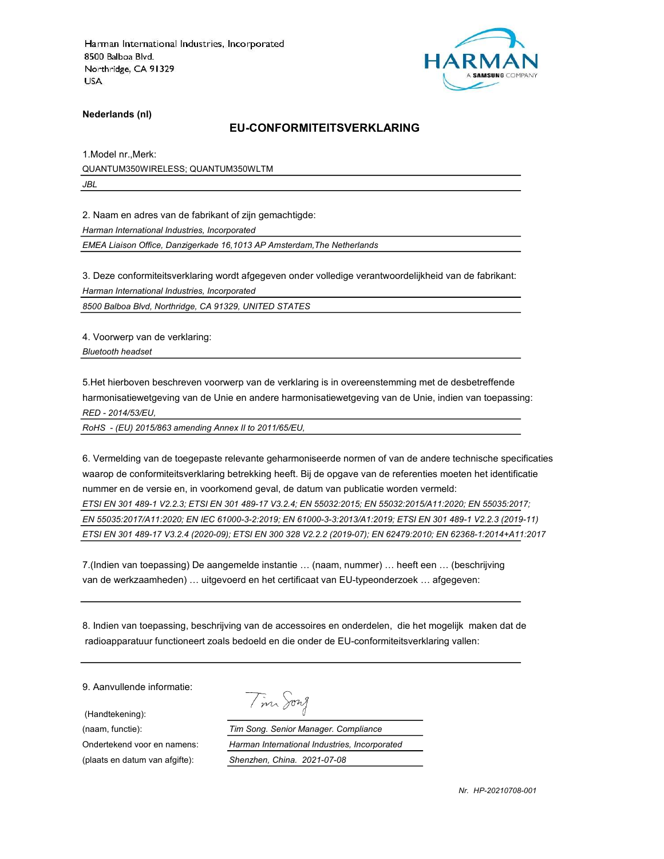

Nederlands (nl)

#### EU-CONFORMITEITSVERKLARING

1.Model nr.,Merk: QUANTUM350WIRELESS; QUANTUM350WLTM JBL

2. Naam en adres van de fabrikant of zijn gemachtigde:

Harman International Industries, Incorporated

EMEA Liaison Office, Danzigerkade 16,1013 AP Amsterdam,The Netherlands

3. Deze conformiteitsverklaring wordt afgegeven onder volledige verantwoordelijkheid van de fabrikant: Harman International Industries, Incorporated

8500 Balboa Blvd, Northridge, CA 91329, UNITED STATES

4. Voorwerp van de verklaring: Bluetooth headset

5.Het hierboven beschreven voorwerp van de verklaring is in overeenstemming met de desbetreffende harmonisatiewetgeving van de Unie en andere harmonisatiewetgeving van de Unie, indien van toepassing: RED - 2014/53/EU,

RoHS - (EU) 2015/863 amending Annex II to 2011/65/EU,

6. Vermelding van de toegepaste relevante geharmoniseerde normen of van de andere technische specificaties waarop de conformiteitsverklaring betrekking heeft. Bij de opgave van de referenties moeten het identificatie nummer en de versie en, in voorkomend geval, de datum van publicatie worden vermeld: ETSI EN 301 489-1 V2.2.3; ETSI EN 301 489-17 V3.2.4; EN 55032:2015; EN 55032:2015/A11:2020; EN 55035:2017; EN 55035:2017/A11:2020; EN IEC 61000-3-2:2019; EN 61000-3-3:2013/A1:2019; ETSI EN 301 489-1 V2.2.3 (2019-11) ETSI EN 301 489-17 V3.2.4 (2020-09); ETSI EN 300 328 V2.2.2 (2019-07); EN 62479:2010; EN 62368-1:2014+A11:2017

7.(Indien van toepassing) De aangemelde instantie … (naam, nummer) … heeft een … (beschrijving van de werkzaamheden) … uitgevoerd en het certificaat van EU-typeonderzoek … afgegeven:

8. Indien van toepassing, beschrijving van de accessoires en onderdelen, die het mogelijk maken dat de radioapparatuur functioneert zoals bedoeld en die onder de EU-conformiteitsverklaring vallen:

9. Aanvullende informatie:

(Handtekening):

Tim Song

(naam, functie): Tim Song. Senior Manager. Compliance Ondertekend voor en namens: Harman International Industries, Incorporated (plaats en datum van afgifte): Shenzhen, China. 2021-07-08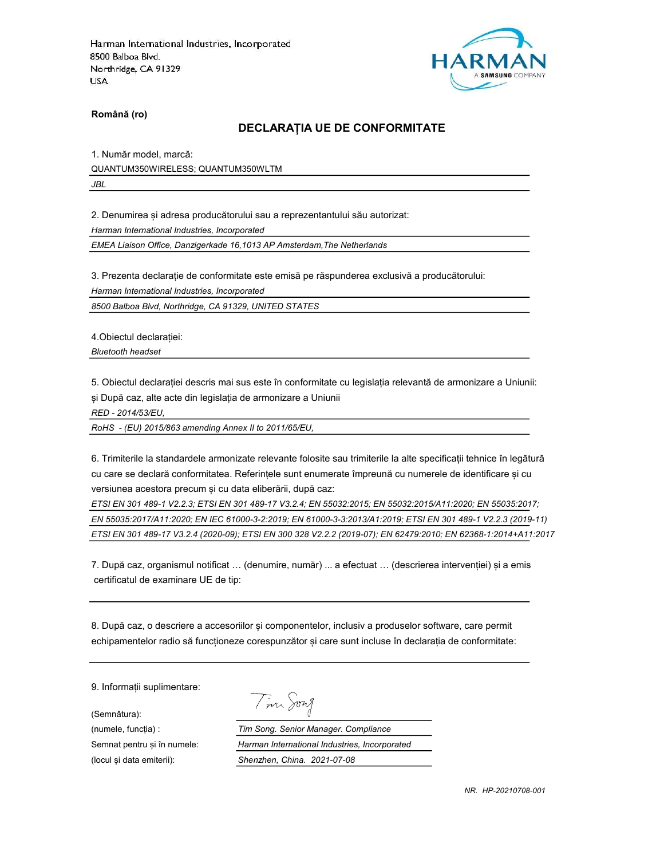

Română (ro)

#### DECLARAȚIA UE DE CONFORMITATE

1. Număr model, marcă: QUANTUM350WIRELESS; QUANTUM350WLTM JBL

2. Denumirea și adresa producătorului sau a reprezentantului său autorizat:

Harman International Industries, Incorporated

EMEA Liaison Office, Danzigerkade 16,1013 AP Amsterdam,The Netherlands

3. Prezenta declarație de conformitate este emisă pe răspunderea exclusivă a producătorului:

Harman International Industries, Incorporated

8500 Balboa Blvd, Northridge, CA 91329, UNITED STATES

4.Obiectul declarației:

Bluetooth headset

5. Obiectul declarației descris mai sus este în conformitate cu legislația relevantă de armonizare a Uniunii: și După caz, alte acte din legislația de armonizare a Uniunii

RED - 2014/53/EU,

RoHS - (EU) 2015/863 amending Annex II to 2011/65/EU,

6. Trimiterile la standardele armonizate relevante folosite sau trimiterile la alte specificații tehnice în legătură cu care se declară conformitatea. Referințele sunt enumerate împreună cu numerele de identificare și cu versiunea acestora precum și cu data eliberării, după caz:

ETSI EN 301 489-1 V2.2.3; ETSI EN 301 489-17 V3.2.4; EN 55032:2015; EN 55032:2015/A11:2020; EN 55035:2017; EN 55035:2017/A11:2020; EN IEC 61000-3-2:2019; EN 61000-3-3:2013/A1:2019; ETSI EN 301 489-1 V2.2.3 (2019-11) ETSI EN 301 489-17 V3.2.4 (2020-09); ETSI EN 300 328 V2.2.2 (2019-07); EN 62479:2010; EN 62368-1:2014+A11:2017

7. După caz, organismul notificat … (denumire, număr) ... a efectuat … (descrierea intervenției) și a emis certificatul de examinare UE de tip:

8. După caz, o descriere a accesoriilor și componentelor, inclusiv a produselor software, care permit echipamentelor radio să funcționeze corespunzător și care sunt incluse în declarația de conformitate:

9. Informații suplimentare:

(Semnătura):

Tim Song

(numele, funcția) : Tim Song. Senior Manager. Compliance Semnat pentru și în numele: Harman International Industries, Incorporated (locul și data emiterii): Shenzhen, China. 2021-07-08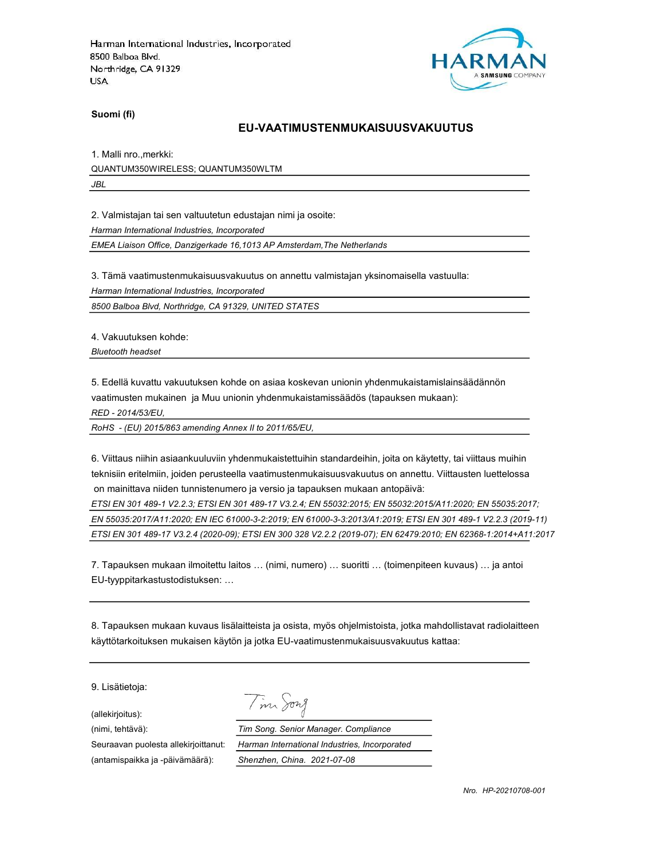

Suomi (fi)

#### EU-VAATIMUSTENMUKAISUUSVAKUUTUS

1. Malli nro.,merkki: QUANTUM350WIRELESS; QUANTUM350WLTM JBL

2. Valmistajan tai sen valtuutetun edustajan nimi ja osoite:

Harman International Industries, Incorporated

EMEA Liaison Office, Danzigerkade 16,1013 AP Amsterdam,The Netherlands

3. Tämä vaatimustenmukaisuusvakuutus on annettu valmistajan yksinomaisella vastuulla:

Harman International Industries, Incorporated

8500 Balboa Blvd, Northridge, CA 91329, UNITED STATES

4. Vakuutuksen kohde:

Bluetooth headset

5. Edellä kuvattu vakuutuksen kohde on asiaa koskevan unionin yhdenmukaistamislainsäädännön vaatimusten mukainen ja Muu unionin yhdenmukaistamissäädös (tapauksen mukaan):

RED - 2014/53/EU,

RoHS - (EU) 2015/863 amending Annex II to 2011/65/EU,

6. Viittaus niihin asiaankuuluviin yhdenmukaistettuihin standardeihin, joita on käytetty, tai viittaus muihin teknisiin eritelmiin, joiden perusteella vaatimustenmukaisuusvakuutus on annettu. Viittausten luettelossa on mainittava niiden tunnistenumero ja versio ja tapauksen mukaan antopäivä:

ETSI EN 301 489-1 V2.2.3; ETSI EN 301 489-17 V3.2.4; EN 55032:2015; EN 55032:2015/A11:2020; EN 55035:2017; EN 55035:2017/A11:2020; EN IEC 61000-3-2:2019; EN 61000-3-3:2013/A1:2019; ETSI EN 301 489-1 V2.2.3 (2019-11) ETSI EN 301 489-17 V3.2.4 (2020-09); ETSI EN 300 328 V2.2.2 (2019-07); EN 62479:2010; EN 62368-1:2014+A11:2017

7. Tapauksen mukaan ilmoitettu laitos … (nimi, numero) … suoritti … (toimenpiteen kuvaus) … ja antoi EU-tyyppitarkastustodistuksen: …

8. Tapauksen mukaan kuvaus lisälaitteista ja osista, myös ohjelmistoista, jotka mahdollistavat radiolaitteen käyttötarkoituksen mukaisen käytön ja jotka EU-vaatimustenmukaisuusvakuutus kattaa:

9. Lisätietoja:

(allekirjoitus):

Tim Song

(nimi, tehtävä): Tim Song. Senior Manager. Compliance Seuraavan puolesta allekirjoittanut: Harman International Industries, Incorporated (antamispaikka ja -päivämäärä): Shenzhen, China. 2021-07-08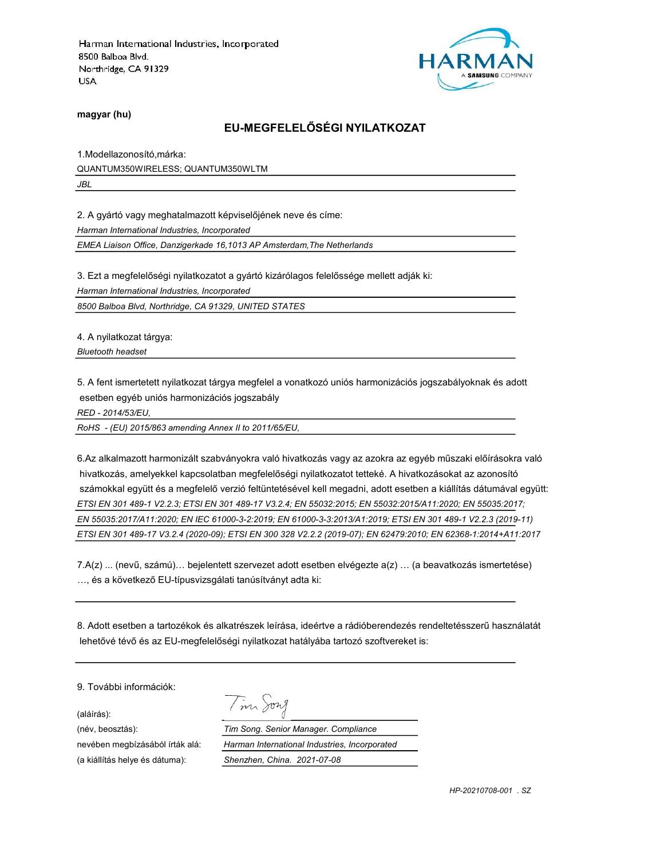

magyar (hu)

## EU-MEGFELELŐSÉGI NYILATKOZAT

1.Modellazonosító,márka: QUANTUM350WIRELESS; QUANTUM350WLTM JBL

2. A gyártó vagy meghatalmazott képviselőjének neve és címe:

Harman International Industries, Incorporated

EMEA Liaison Office, Danzigerkade 16,1013 AP Amsterdam,The Netherlands

3. Ezt a megfelelőségi nyilatkozatot a gyártó kizárólagos felelőssége mellett adják ki:

Harman International Industries, Incorporated

8500 Balboa Blvd, Northridge, CA 91329, UNITED STATES

4. A nyilatkozat tárgya: Bluetooth headset

5. A fent ismertetett nyilatkozat tárgya megfelel a vonatkozó uniós harmonizációs jogszabályoknak és adott esetben egyéb uniós harmonizációs jogszabály

RED - 2014/53/EU,

RoHS - (EU) 2015/863 amending Annex II to 2011/65/EU,

6.Az alkalmazott harmonizált szabványokra való hivatkozás vagy az azokra az egyéb műszaki előírásokra való hivatkozás, amelyekkel kapcsolatban megfelelőségi nyilatkozatot tetteké. A hivatkozásokat az azonosító számokkal együtt és a megfelelő verzió feltüntetésével kell megadni, adott esetben a kiállítás dátumával együtt: ETSI EN 301 489-1 V2.2.3; ETSI EN 301 489-17 V3.2.4; EN 55032:2015; EN 55032:2015/A11:2020; EN 55035:2017; EN 55035:2017/A11:2020; EN IEC 61000-3-2:2019; EN 61000-3-3:2013/A1:2019; ETSI EN 301 489-1 V2.2.3 (2019-11) ETSI EN 301 489-17 V3.2.4 (2020-09); ETSI EN 300 328 V2.2.2 (2019-07); EN 62479:2010; EN 62368-1:2014+A11:2017

7.A(z) ... (nevű, számú)… bejelentett szervezet adott esetben elvégezte a(z) … (a beavatkozás ismertetése) …, és a következő EU-típusvizsgálati tanúsítványt adta ki:

8. Adott esetben a tartozékok és alkatrészek leírása, ideértve a rádióberendezés rendeltetésszerű használatát lehetővé tévő és az EU-megfelelőségi nyilatkozat hatályába tartozó szoftvereket is:

9. További információk:

(aláírás): (a kiállítás helye és dátuma): Shenzhen, China. 2021-07-08

Tim Song

(név, beosztás): Tim Song. Senior Manager. Compliance nevében megbízásából írták alá: Harman International Industries, Incorporated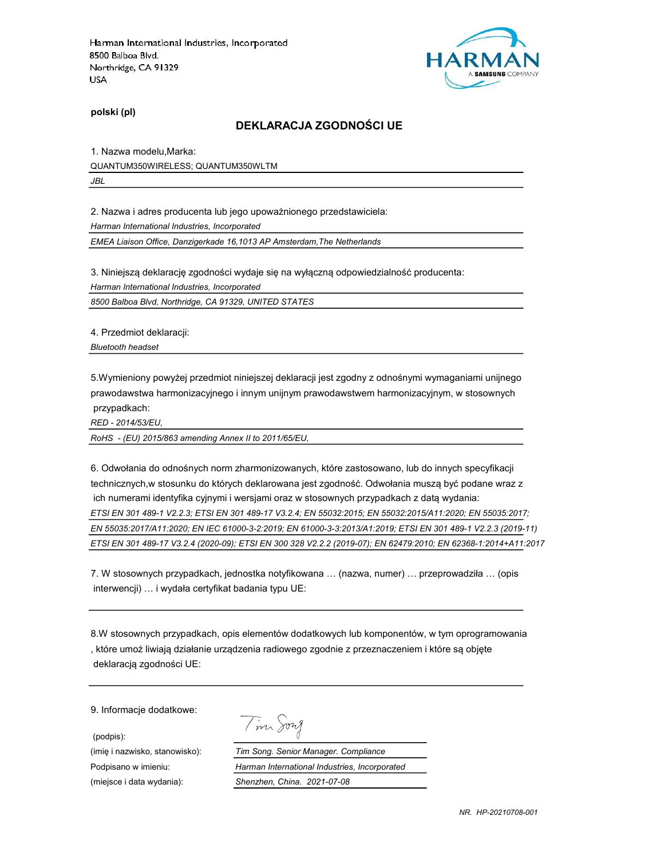

polski (pl)

### DEKLARACJA ZGODNOŚCI UE

1. Nazwa modelu,Marka:

QUANTUM350WIRELESS; QUANTUM350WLTM

JBL

2. Nazwa i adres producenta lub jego upoważnionego przedstawiciela:

Harman International Industries, Incorporated

EMEA Liaison Office, Danzigerkade 16,1013 AP Amsterdam,The Netherlands

3. Niniejszą deklarację zgodności wydaje się na wyłączną odpowiedzialność producenta:

Harman International Industries, Incorporated

8500 Balboa Blvd, Northridge, CA 91329, UNITED STATES

4. Przedmiot deklaracji:

Bluetooth headset

5.Wymieniony powyżej przedmiot niniejszej deklaracji jest zgodny z odnośnymi wymaganiami unijnego prawodawstwa harmonizacyjnego i innym unijnym prawodawstwem harmonizacyjnym, w stosownych przypadkach:

RED - 2014/53/EU,

RoHS - (EU) 2015/863 amending Annex II to 2011/65/EU,

6. Odwołania do odnośnych norm zharmonizowanych, które zastosowano, lub do innych specyfikacji technicznych,w stosunku do których deklarowana jest zgodność. Odwołania muszą być podane wraz z ich numerami identyfika cyjnymi i wersjami oraz w stosownych przypadkach z datą wydania: ETSI EN 301 489-1 V2.2.3; ETSI EN 301 489-17 V3.2.4; EN 55032:2015; EN 55032:2015/A11:2020; EN 55035:2017; EN 55035:2017/A11:2020; EN IEC 61000-3-2:2019; EN 61000-3-3:2013/A1:2019; ETSI EN 301 489-1 V2.2.3 (2019-11) ETSI EN 301 489-17 V3.2.4 (2020-09); ETSI EN 300 328 V2.2.2 (2019-07); EN 62479:2010; EN 62368-1:2014+A11:2017

7. W stosownych przypadkach, jednostka notyfikowana … (nazwa, numer) … przeprowadziła … (opis interwencji) … i wydała certyfikat badania typu UE:

8.W stosownych przypadkach, opis elementów dodatkowych lub komponentów, w tym oprogramowania , które umoż liwiają działanie urządzenia radiowego zgodnie z przeznaczeniem i które są objęte deklaracją zgodności UE:

9. Informacje dodatkowe:

(podpis):

| $\Lambda$ |  |
|-----------|--|
|           |  |

(imię i nazwisko, stanowisko): Tim Song. Senior Manager. Compliance Podpisano w imieniu: Harman International Industries, Incorporated (miejsce i data wydania): Shenzhen, China. 2021-07-08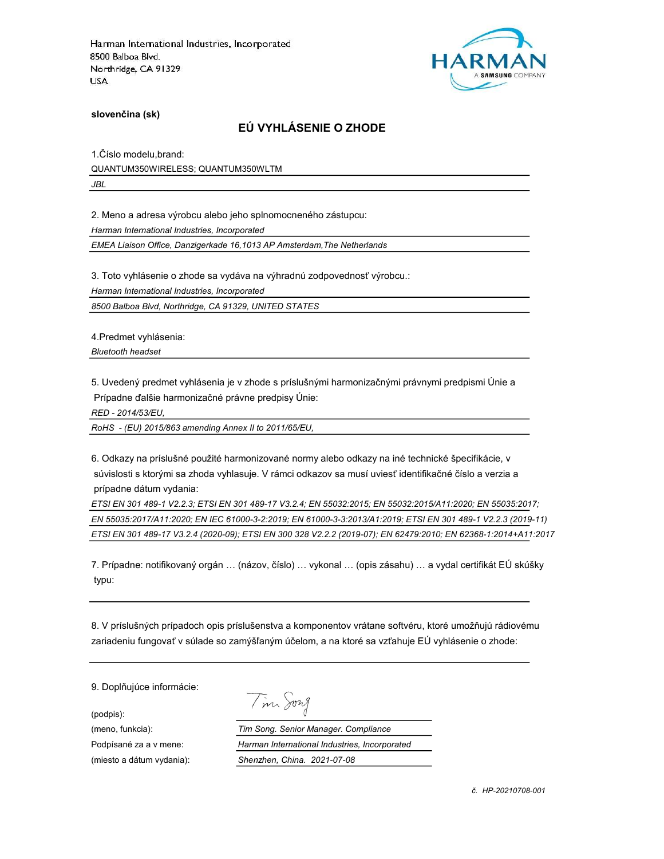

slovenčina (sk)

### EÚ VYHLÁSENIE O ZHODE

1.Číslo modelu,brand: QUANTUM350WIRELESS; QUANTUM350WLTM JBL

2. Meno a adresa výrobcu alebo jeho splnomocneného zástupcu:

Harman International Industries, Incorporated

EMEA Liaison Office, Danzigerkade 16,1013 AP Amsterdam,The Netherlands

3. Toto vyhlásenie o zhode sa vydáva na výhradnú zodpovednosť výrobcu.:

Harman International Industries, Incorporated

8500 Balboa Blvd, Northridge, CA 91329, UNITED STATES

4.Predmet vyhlásenia:

Bluetooth headset

5. Uvedený predmet vyhlásenia je v zhode s príslušnými harmonizačnými právnymi predpismi Únie a Prípadne ďalšie harmonizačné právne predpisy Únie:

RED - 2014/53/EU,

RoHS - (EU) 2015/863 amending Annex II to 2011/65/EU,

6. Odkazy na príslušné použité harmonizované normy alebo odkazy na iné technické špecifikácie, v súvislosti s ktorými sa zhoda vyhlasuje. V rámci odkazov sa musí uviesť identifikačné číslo a verzia a prípadne dátum vydania:

ETSI EN 301 489-1 V2.2.3; ETSI EN 301 489-17 V3.2.4; EN 55032:2015; EN 55032:2015/A11:2020; EN 55035:2017; EN 55035:2017/A11:2020; EN IEC 61000-3-2:2019; EN 61000-3-3:2013/A1:2019; ETSI EN 301 489-1 V2.2.3 (2019-11) ETSI EN 301 489-17 V3.2.4 (2020-09); ETSI EN 300 328 V2.2.2 (2019-07); EN 62479:2010; EN 62368-1:2014+A11:2017

7. Prípadne: notifikovaný orgán … (názov, číslo) … vykonal … (opis zásahu) … a vydal certifikát EÚ skúšky typu:

8. V príslušných prípadoch opis príslušenstva a komponentov vrátane softvéru, ktoré umožňujú rádiovému zariadeniu fungovať v súlade so zamýšľaným účelom, a na ktoré sa vzťahuje EÚ vyhlásenie o zhode:

9. Doplňujúce informácie:

(podpis):

Tim Song

(meno, funkcia): Tim Song. Senior Manager. Compliance Podpísané za a v mene: Harman International Industries, Incorporated (miesto a dátum vydania): Shenzhen, China. 2021-07-08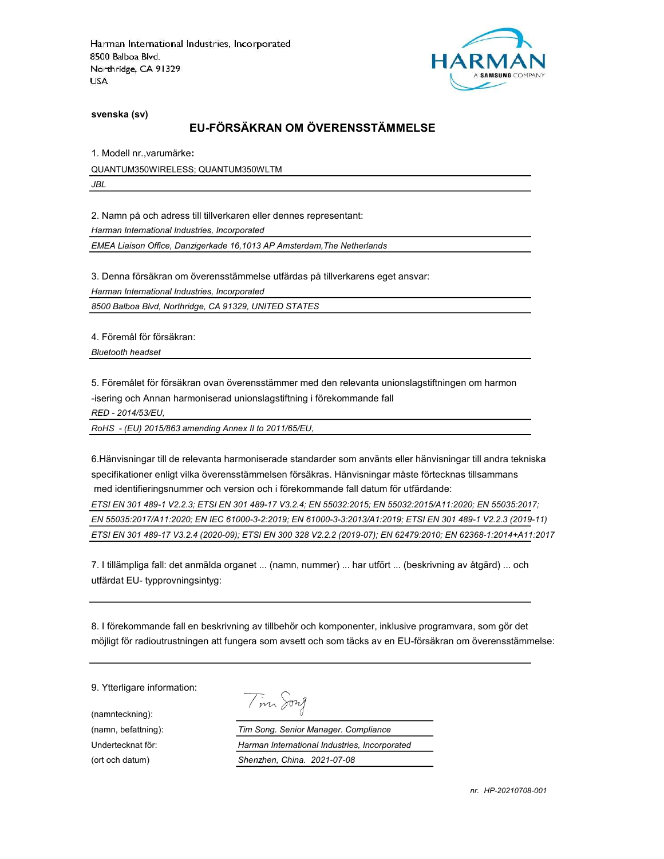

svenska (sv)

# EU-FÖRSÄKRAN OM ÖVERENSSTÄMMELSE

1. Modell nr.,varumärke:

QUANTUM350WIRELESS; QUANTUM350WLTM

JBL

2. Namn på och adress till tillverkaren eller dennes representant:

Harman International Industries, Incorporated

EMEA Liaison Office, Danzigerkade 16,1013 AP Amsterdam,The Netherlands

3. Denna försäkran om överensstämmelse utfärdas på tillverkarens eget ansvar:

Harman International Industries, Incorporated

8500 Balboa Blvd, Northridge, CA 91329, UNITED STATES

4. Föremål för försäkran:

Bluetooth headset

5. Föremålet för försäkran ovan överensstämmer med den relevanta unionslagstiftningen om harmon

-isering och Annan harmoniserad unionslagstiftning i förekommande fall

RED - 2014/53/EU,

RoHS - (EU) 2015/863 amending Annex II to 2011/65/EU,

6.Hänvisningar till de relevanta harmoniserade standarder som använts eller hänvisningar till andra tekniska specifikationer enligt vilka överensstämmelsen försäkras. Hänvisningar måste förtecknas tillsammans med identifieringsnummer och version och i förekommande fall datum för utfärdande:

ETSI EN 301 489-1 V2.2.3; ETSI EN 301 489-17 V3.2.4; EN 55032:2015; EN 55032:2015/A11:2020; EN 55035:2017; EN 55035:2017/A11:2020; EN IEC 61000-3-2:2019; EN 61000-3-3:2013/A1:2019; ETSI EN 301 489-1 V2.2.3 (2019-11) ETSI EN 301 489-17 V3.2.4 (2020-09); ETSI EN 300 328 V2.2.2 (2019-07); EN 62479:2010; EN 62368-1:2014+A11:2017

7. I tillämpliga fall: det anmälda organet ... (namn, nummer) ... har utfört ... (beskrivning av åtgärd) ... och utfärdat EU- typprovningsintyg:

8. I förekommande fall en beskrivning av tillbehör och komponenter, inklusive programvara, som gör det möjligt för radioutrustningen att fungera som avsett och som täcks av en EU-försäkran om överensstämmelse:

9. Ytterligare information:

(namnteckning):

Tim Song

(namn, befattning): Tim Song. Senior Manager. Compliance Undertecknat för: Harman International Industries, Incorporated (ort och datum) Shenzhen, China. 2021-07-08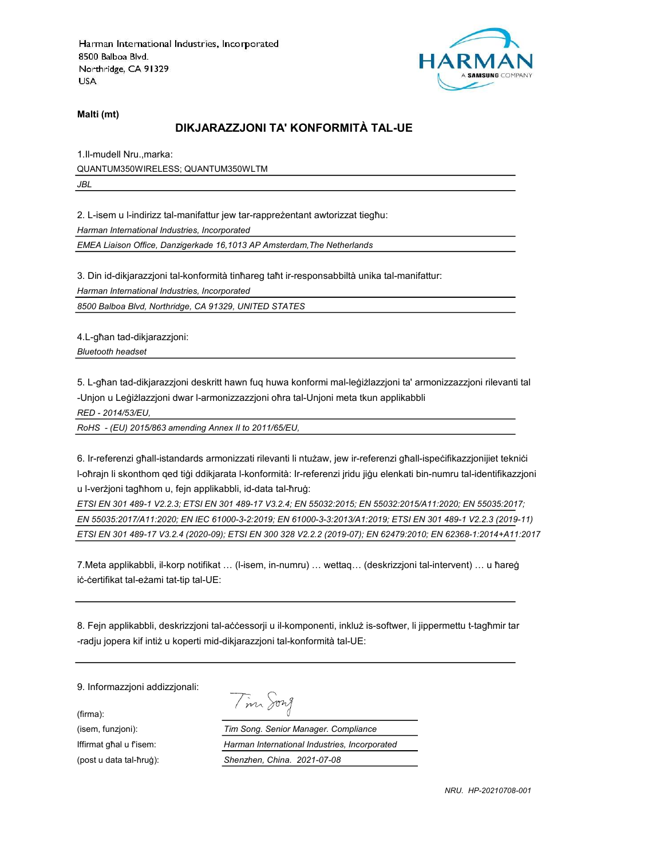

Malti (mt)

### DIKJARAZZJONI TA' KONFORMITÀ TAL-UE

1.Il-mudell Nru.,marka: QUANTUM350WIRELESS; QUANTUM350WLTM JBL

2. L-isem u l-indirizz tal-manifattur jew tar-rappreżentant awtorizzat tiegħu:

Harman International Industries, Incorporated

EMEA Liaison Office, Danzigerkade 16,1013 AP Amsterdam,The Netherlands

3. Din id-dikjarazzjoni tal-konformità tinħareg taħt ir-responsabbiltà unika tal-manifattur:

Harman International Industries, Incorporated

8500 Balboa Blvd, Northridge, CA 91329, UNITED STATES

4.L-għan tad-dikjarazzjoni:

Bluetooth headset

5. L-għan tad-dikjarazzjoni deskritt hawn fuq huwa konformi mal-leġiżlazzjoni ta' armonizzazzjoni rilevanti tal -Unjon u Leġiżlazzjoni dwar l-armonizzazzjoni oħra tal-Unjoni meta tkun applikabbli

RED - 2014/53/EU,

RoHS - (EU) 2015/863 amending Annex II to 2011/65/EU,

6. Ir-referenzi għall-istandards armonizzati rilevanti li ntużaw, jew ir-referenzi għall-ispeċifikazzjonijiet tekniċi l-oħrajn li skonthom qed tiġi ddikjarata l-konformità: Ir-referenzi jridu jiġu elenkati bin-numru tal-identifikazzjoni u l-verżjoni tagħhom u, fejn applikabbli, id-data tal-ħruġ:

ETSI EN 301 489-1 V2.2.3; ETSI EN 301 489-17 V3.2.4; EN 55032:2015; EN 55032:2015/A11:2020; EN 55035:2017; EN 55035:2017/A11:2020; EN IEC 61000-3-2:2019; EN 61000-3-3:2013/A1:2019; ETSI EN 301 489-1 V2.2.3 (2019-11) ETSI EN 301 489-17 V3.2.4 (2020-09); ETSI EN 300 328 V2.2.2 (2019-07); EN 62479:2010; EN 62368-1:2014+A11:2017

7.Meta applikabbli, il-korp notifikat … (l-isem, in-numru) … wettaq… (deskrizzjoni tal-intervent) … u ħareġ iċ-ċertifikat tal-eżami tat-tip tal-UE:

8. Fejn applikabbli, deskrizzjoni tal-aċċessorji u il-komponenti, inkluż is-softwer, li jippermettu t-tagħmir tar -radju jopera kif intiż u koperti mid-dikjarazzjoni tal-konformità tal-UE:

9. Informazzjoni addizzjonali:

(firma):

Tim Song

(isem, funzjoni): Tim Song. Senior Manager. Compliance Iffirmat għal u f'isem: Harman International Industries, Incorporated (post u data tal-ħruġ): Shenzhen, China. 2021-07-08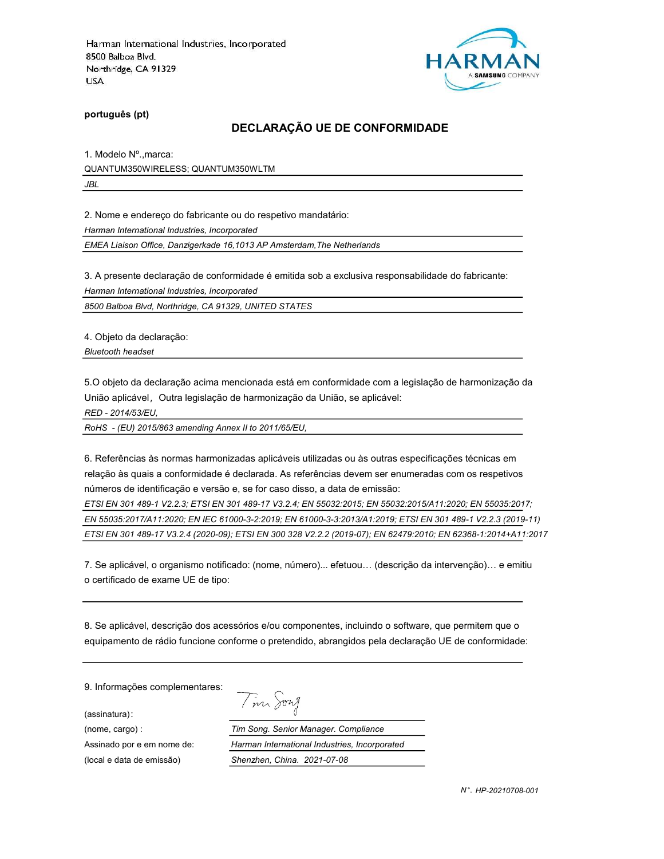

português (pt)

#### DECLARAÇÃO UE DE CONFORMIDADE

1. Modelo Nº.,marca: QUANTUM350WIRELESS; QUANTUM350WLTM JBL

2. Nome e endereço do fabricante ou do respetivo mandatário:

Harman International Industries, Incorporated

EMEA Liaison Office, Danzigerkade 16,1013 AP Amsterdam,The Netherlands

3. A presente declaração de conformidade é emitida sob a exclusiva responsabilidade do fabricante:

Harman International Industries, Incorporated

8500 Balboa Blvd, Northridge, CA 91329, UNITED STATES

4. Objeto da declaração:

Bluetooth headset

5.O objeto da declaração acima mencionada está em conformidade com a legislação de harmonização da União aplicável, Outra legislação de harmonização da União, se aplicável:

RED - 2014/53/EU,

RoHS - (EU) 2015/863 amending Annex II to 2011/65/EU,

6. Referências às normas harmonizadas aplicáveis utilizadas ou às outras especificações técnicas em relação às quais a conformidade é declarada. As referências devem ser enumeradas com os respetivos números de identificação e versão e, se for caso disso, a data de emissão:

ETSI EN 301 489-1 V2.2.3; ETSI EN 301 489-17 V3.2.4; EN 55032:2015; EN 55032:2015/A11:2020; EN 55035:2017; EN 55035:2017/A11:2020; EN IEC 61000-3-2:2019; EN 61000-3-3:2013/A1:2019; ETSI EN 301 489-1 V2.2.3 (2019-11) ETSI EN 301 489-17 V3.2.4 (2020-09); ETSI EN 300 328 V2.2.2 (2019-07); EN 62479:2010; EN 62368-1:2014+A11:2017

7. Se aplicável, o organismo notificado: (nome, número)... efetuou… (descrição da intervenção)… e emitiu o certificado de exame UE de tipo:

8. Se aplicável, descrição dos acessórios e/ou componentes, incluindo o software, que permitem que o equipamento de rádio funcione conforme o pretendido, abrangidos pela declaração UE de conformidade:

9. Informações complementares:

(assinatura):

(local e data de emissão) Shenzhen, China. 2021-07-08

Tim Song (nome, cargo) : Tim Song. Senior Manager. Compliance Assinado por e em nome de: Harman International Industries, Incorporated

N °. HP-20210708-001